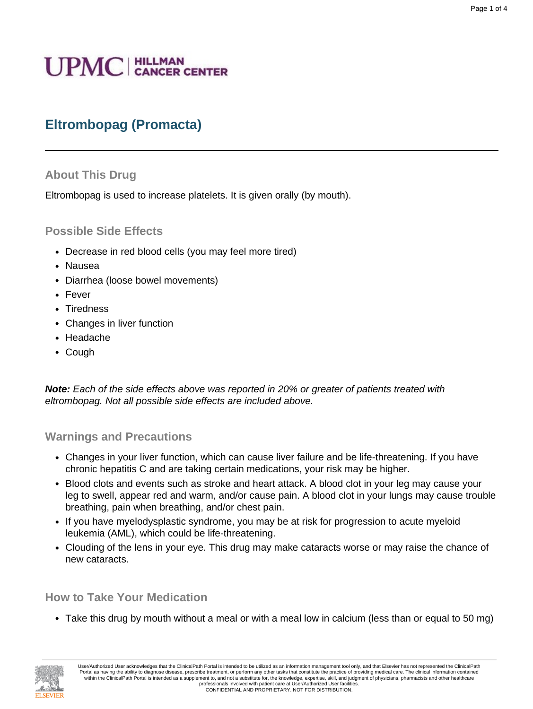# **UPMC** | HILLMAN

# **Eltrombopag (Promacta)**

## **About This Drug**

Eltrombopag is used to increase platelets. It is given orally (by mouth).

## **Possible Side Effects**

- Decrease in red blood cells (you may feel more tired)
- Nausea
- Diarrhea (loose bowel movements)
- Fever
- Tiredness
- Changes in liver function
- Headache
- Cough

**Note:** Each of the side effects above was reported in 20% or greater of patients treated with eltrombopag. Not all possible side effects are included above.

#### **Warnings and Precautions**

- Changes in your liver function, which can cause liver failure and be life-threatening. If you have chronic hepatitis C and are taking certain medications, your risk may be higher.
- Blood clots and events such as stroke and heart attack. A blood clot in your leg may cause your leg to swell, appear red and warm, and/or cause pain. A blood clot in your lungs may cause trouble breathing, pain when breathing, and/or chest pain.
- If you have myelodysplastic syndrome, you may be at risk for progression to acute myeloid leukemia (AML), which could be life-threatening.
- Clouding of the lens in your eye. This drug may make cataracts worse or may raise the chance of new cataracts.

#### **How to Take Your Medication**

• Take this drug by mouth without a meal or with a meal low in calcium (less than or equal to 50 mg)

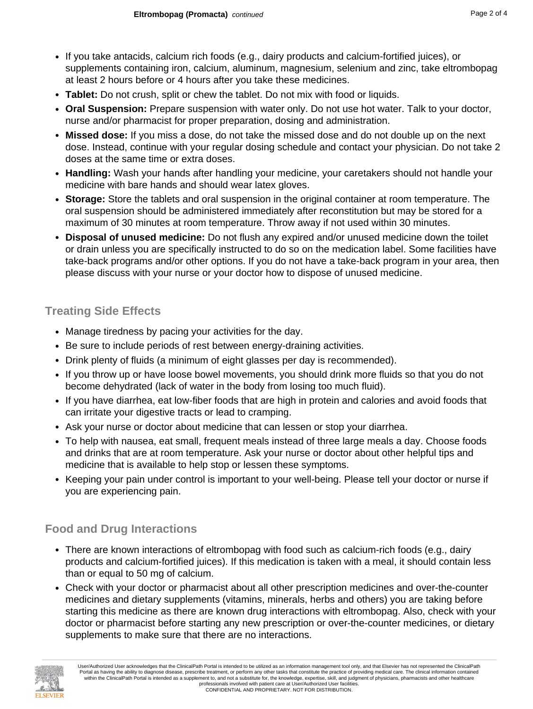- If you take antacids, calcium rich foods (e.g., dairy products and calcium-fortified juices), or supplements containing iron, calcium, aluminum, magnesium, selenium and zinc, take eltrombopag at least 2 hours before or 4 hours after you take these medicines.
- **Tablet:** Do not crush, split or chew the tablet. Do not mix with food or liquids.
- **Oral Suspension:** Prepare suspension with water only. Do not use hot water. Talk to your doctor, nurse and/or pharmacist for proper preparation, dosing and administration.
- **Missed dose:** If you miss a dose, do not take the missed dose and do not double up on the next dose. Instead, continue with your regular dosing schedule and contact your physician. Do not take 2 doses at the same time or extra doses.
- **Handling:** Wash your hands after handling your medicine, your caretakers should not handle your medicine with bare hands and should wear latex gloves.
- **Storage:** Store the tablets and oral suspension in the original container at room temperature. The oral suspension should be administered immediately after reconstitution but may be stored for a maximum of 30 minutes at room temperature. Throw away if not used within 30 minutes.
- **Disposal of unused medicine:** Do not flush any expired and/or unused medicine down the toilet or drain unless you are specifically instructed to do so on the medication label. Some facilities have take-back programs and/or other options. If you do not have a take-back program in your area, then please discuss with your nurse or your doctor how to dispose of unused medicine.

# **Treating Side Effects**

- Manage tiredness by pacing your activities for the day.
- Be sure to include periods of rest between energy-draining activities.
- Drink plenty of fluids (a minimum of eight glasses per day is recommended).
- If you throw up or have loose bowel movements, you should drink more fluids so that you do not become dehydrated (lack of water in the body from losing too much fluid).
- If you have diarrhea, eat low-fiber foods that are high in protein and calories and avoid foods that can irritate your digestive tracts or lead to cramping.
- Ask your nurse or doctor about medicine that can lessen or stop your diarrhea.
- To help with nausea, eat small, frequent meals instead of three large meals a day. Choose foods and drinks that are at room temperature. Ask your nurse or doctor about other helpful tips and medicine that is available to help stop or lessen these symptoms.
- Keeping your pain under control is important to your well-being. Please tell your doctor or nurse if you are experiencing pain.

# **Food and Drug Interactions**

- There are known interactions of eltrombopag with food such as calcium-rich foods (e.g., dairy products and calcium-fortified juices). If this medication is taken with a meal, it should contain less than or equal to 50 mg of calcium.
- Check with your doctor or pharmacist about all other prescription medicines and over-the-counter medicines and dietary supplements (vitamins, minerals, herbs and others) you are taking before starting this medicine as there are known drug interactions with eltrombopag. Also, check with your doctor or pharmacist before starting any new prescription or over-the-counter medicines, or dietary supplements to make sure that there are no interactions.

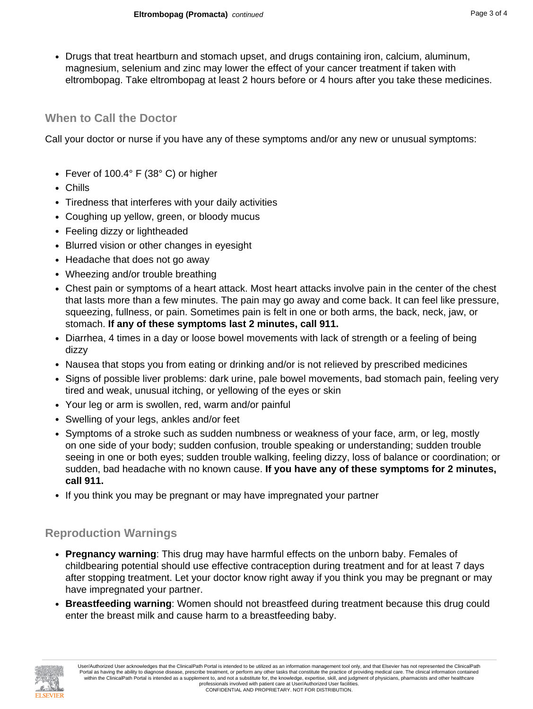• Drugs that treat heartburn and stomach upset, and drugs containing iron, calcium, aluminum, magnesium, selenium and zinc may lower the effect of your cancer treatment if taken with eltrombopag. Take eltrombopag at least 2 hours before or 4 hours after you take these medicines.

#### **When to Call the Doctor**

Call your doctor or nurse if you have any of these symptoms and/or any new or unusual symptoms:

- Fever of 100.4° F (38° C) or higher
- Chills
- Tiredness that interferes with your daily activities
- Coughing up yellow, green, or bloody mucus
- Feeling dizzy or lightheaded
- Blurred vision or other changes in eyesight
- Headache that does not go away
- Wheezing and/or trouble breathing
- Chest pain or symptoms of a heart attack. Most heart attacks involve pain in the center of the chest that lasts more than a few minutes. The pain may go away and come back. It can feel like pressure, squeezing, fullness, or pain. Sometimes pain is felt in one or both arms, the back, neck, jaw, or stomach. **If any of these symptoms last 2 minutes, call 911.**
- Diarrhea, 4 times in a day or loose bowel movements with lack of strength or a feeling of being dizzy
- Nausea that stops you from eating or drinking and/or is not relieved by prescribed medicines
- Signs of possible liver problems: dark urine, pale bowel movements, bad stomach pain, feeling very tired and weak, unusual itching, or yellowing of the eyes or skin
- Your leg or arm is swollen, red, warm and/or painful
- Swelling of your legs, ankles and/or feet
- Symptoms of a stroke such as sudden numbness or weakness of your face, arm, or leg, mostly on one side of your body; sudden confusion, trouble speaking or understanding; sudden trouble seeing in one or both eyes; sudden trouble walking, feeling dizzy, loss of balance or coordination; or sudden, bad headache with no known cause. **If you have any of these symptoms for 2 minutes, call 911.**
- If you think you may be pregnant or may have impregnated your partner

# **Reproduction Warnings**

- **Pregnancy warning**: This drug may have harmful effects on the unborn baby. Females of childbearing potential should use effective contraception during treatment and for at least 7 days after stopping treatment. Let your doctor know right away if you think you may be pregnant or may have impregnated your partner.
- **Breastfeeding warning**: Women should not breastfeed during treatment because this drug could enter the breast milk and cause harm to a breastfeeding baby.